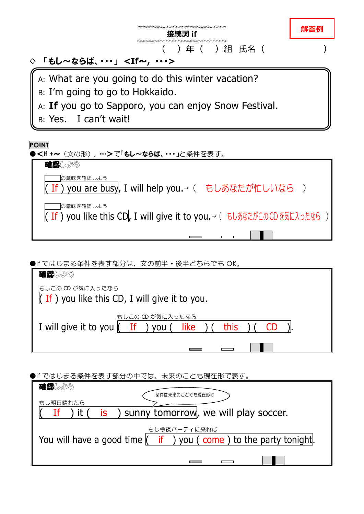

●if ではじまる条件を表す部分は、文の前半・後半どちらでも OK。

| 確認しよう                                                                   |
|-------------------------------------------------------------------------|
| もしこの CD が気に入ったなら<br>If ) you like this CD, I will give it to you.       |
| もしこの CD が気に入ったなら<br>I will give it to you (If ) you (Iike<br>this<br>CD |
|                                                                         |

●if ではじまる条件を表す部分の中では、未来のことも現在形で表す。